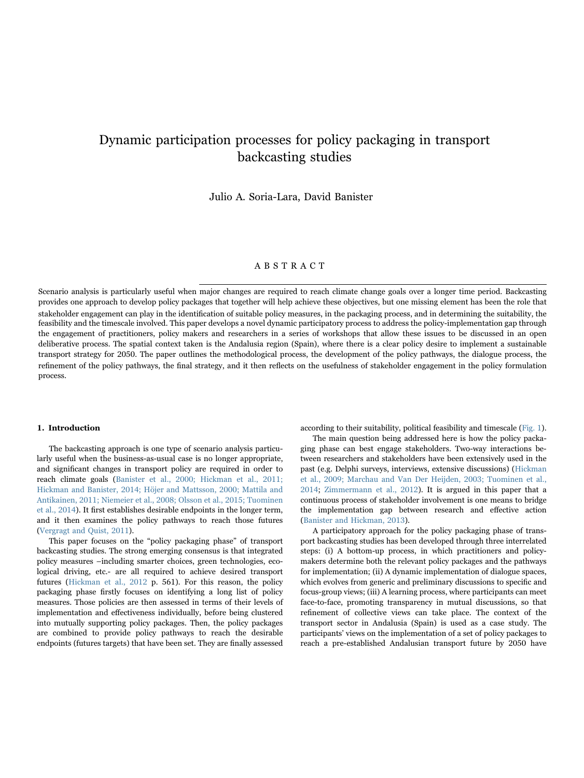# Dynamic participation processes for policy packaging in transport backcasting studies

[J](#page-0-0)[u](#page-0-1)lio A. Soria-Lara, David Banister

# ABSTRACT

<span id="page-0-1"></span>Scenario analysis is particularly useful when major changes are required to reach climate change goals over a longer time period. Backcasting provides one approach to develop policy packages that together will help achieve these objectives, but one missing element has been the role that stakeholder engagement can play in the identification of suitable policy measures, in the packaging process, and in determining the suitability, the feasibility and the timescale involved. This paper develops a novel dynamic participatory process to address the policy-implementation gap through the engagement of practitioners, policy makers and researchers in a series of workshops that allow these issues to be discussed in an open deliberative process. The spatial context taken is the Andalusia region (Spain), where there is a clear policy desire to implement a sustainable transport strategy for 2050. The paper outlines the methodological process, the development of the policy pathways, the dialogue process, the refinement of the policy pathways, the final strategy, and it then reflects on the usefulness of stakeholder engagement in the policy formulation process.

# 1. Introduction

The backcasting approach is one type of scenario analysis particularly useful when the business-as-usual case is no longer appropriate, and significant changes in transport policy are required in order to reach climate goals [\(Banister et al., 2000; Hickman et al., 2011;](#page-10-0) [Hickman and Banister, 2014; Höjer and Mattsson, 2000; Mattila and](#page-10-0) [Antikainen, 2011; Niemeier et al., 2008; Olsson et al., 2015; Tuominen](#page-10-0) [et al., 2014](#page-10-0)). It first establishes desirable endpoints in the longer term, and it then examines the policy pathways to reach those futures ([Vergragt and Quist, 2011\)](#page-11-0).

<span id="page-0-0"></span>This paper focuses on the "policy packaging phase" of transport backcasting studies. The strong emerging consensus is that integrated policy measures –including smarter choices, green technologies, ecological driving, etc.- are all required to achieve desired transport futures ([Hickman et al., 2012](#page-10-1) p. 561). For this reason, the policy packaging phase firstly focuses on identifying a long list of policy measures. Those policies are then assessed in terms of their levels of implementation and effectiveness individually, before being clustered into mutually supporting policy packages. Then, the policy packages are combined to provide policy pathways to reach the desirable endpoints (futures targets) that have been set. They are finally assessed

according to their suitability, political feasibility and timescale [\(Fig. 1\)](#page-1-0).

The main question being addressed here is how the policy packaging phase can best engage stakeholders. Two-way interactions between researchers and stakeholders have been extensively used in the past (e.g. Delphi surveys, interviews, extensive discussions) [\(Hickman](#page-10-2) [et al., 2009; Marchau and Van Der Heijden, 2003; Tuominen et al.,](#page-10-2) [2014;](#page-10-2) [Zimmermann et al., 2012\)](#page-11-1). It is argued in this paper that a continuous process of stakeholder involvement is one means to bridge the implementation gap between research and effective action ([Banister and Hickman, 2013](#page-10-3)).

A participatory approach for the policy packaging phase of transport backcasting studies has been developed through three interrelated steps: (i) A bottom-up process, in which practitioners and policymakers determine both the relevant policy packages and the pathways for implementation; (ii) A dynamic implementation of dialogue spaces, which evolves from generic and preliminary discussions to specific and focus-group views; (iii) A learning process, where participants can meet face-to-face, promoting transparency in mutual discussions, so that refinement of collective views can take place. The context of the transport sector in Andalusia (Spain) is used as a case study. The participants' views on the implementation of a set of policy packages to reach a pre-established Andalusian transport future by 2050 have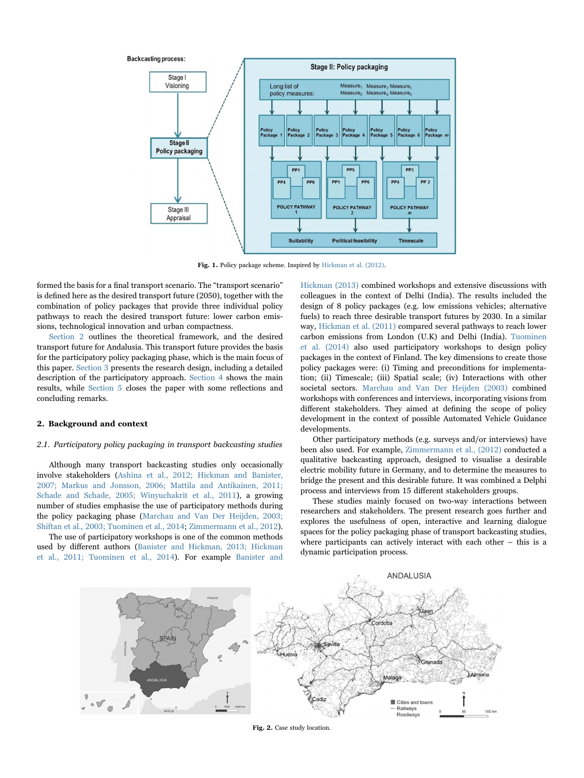<span id="page-1-0"></span>

Fig. 1. Policy package scheme. Inspired by [Hickman et al. \(2012\).](#page-10-1)

formed the basis for a final transport scenario. The "transport scenario" is defined here as the desired transport future (2050), together with the combination of policy packages that provide three individual policy pathways to reach the desired transport future: lower carbon emissions, technological innovation and urban compactness.

[Section 2](#page-1-1) outlines the theoretical framework, and the desired transport future for Andalusia. This transport future provides the basis for the participatory policy packaging phase, which is the main focus of this paper. [Section 3](#page-3-0) presents the research design, including a detailed description of the participatory approach. [Section 4](#page-4-0) shows the main results, while [Section 5](#page-9-0) closes the paper with some reflections and concluding remarks.

# <span id="page-1-1"></span>2. Background and context

# 2.1. Participatory policy packaging in transport backcasting studies

Although many transport backcasting studies only occasionally involve stakeholders [\(Ashina et al., 2012; Hickman and Banister,](#page-10-4) [2007; Markus and Jonsson, 2006; Mattila and Antikainen, 2011;](#page-10-4) [Schade and Schade, 2005; Winyuchakrit et al., 2011](#page-10-4)), a growing number of studies emphasise the use of participatory methods during the policy packaging phase [\(Marchau and Van Der Heijden, 2003;](#page-10-5) [Shiftan et al., 2003; Tuominen et al., 2014](#page-10-5); [Zimmermann et al., 2012\)](#page-11-1).

The use of participatory workshops is one of the common methods used by different authors [\(Banister and Hickman, 2013; Hickman](#page-10-3) [et al., 2011; Tuominen et al., 2014\)](#page-10-3). For example [Banister and](#page-10-3)

[Hickman \(2013\)](#page-10-3) combined workshops and extensive discussions with colleagues in the context of Delhi (India). The results included the design of 8 policy packages (e.g. low emissions vehicles; alternative fuels) to reach three desirable transport futures by 2030. In a similar way, [Hickman et al. \(2011\)](#page-10-6) compared several pathways to reach lower carbon emissions from London (U.K) and Delhi (India). [Tuominen](#page-11-2) [et al. \(2014\)](#page-11-2) also used participatory workshops to design policy packages in the context of Finland. The key dimensions to create those policy packages were: (i) Timing and preconditions for implementation; (ii) Timescale; (iii) Spatial scale; (iv) Interactions with other societal sectors. [Marchau and Van Der Heijden \(2003\)](#page-10-5) combined workshops with conferences and interviews, incorporating visions from different stakeholders. They aimed at defining the scope of policy development in the context of possible Automated Vehicle Guidance developments.

Other participatory methods (e.g. surveys and/or interviews) have been also used. For example, [Zimmermann et al., \(2012\)](#page-11-1) conducted a qualitative backcasting approach, designed to visualise a desirable electric mobility future in Germany, and to determine the measures to bridge the present and this desirable future. It was combined a Delphi process and interviews from 15 different stakeholders groups.

These studies mainly focused on two-way interactions between researchers and stakeholders. The present research goes further and explores the usefulness of open, interactive and learning dialogue spaces for the policy packaging phase of transport backcasting studies, where participants can actively interact with each other – this is a dynamic participation process.

<span id="page-1-2"></span>

Fig. 2. Case study location.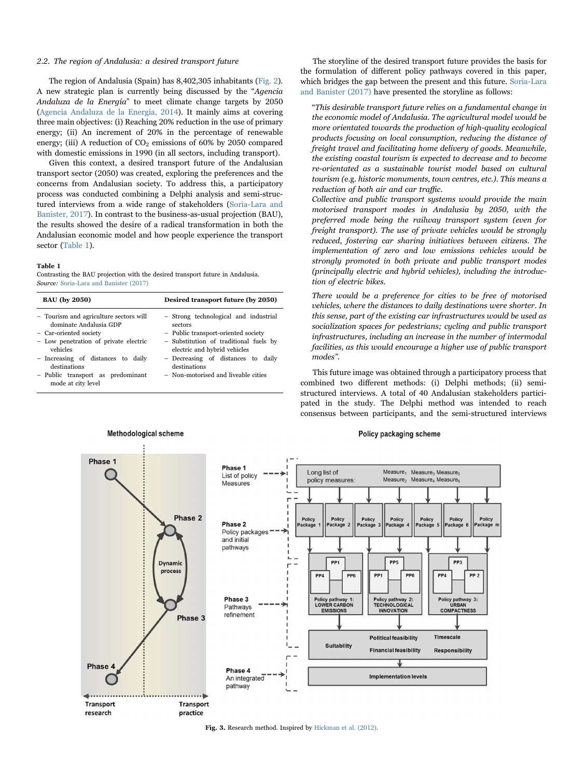#### <span id="page-2-2"></span>2.2. The region of Andalusia: a desired transport future

The region of Andalusia (Spain) has 8,402,305 inhabitants [\(Fig.](#page-1-2) 2). A new strategic plan is currently being discussed by the "Agencia Andaluza de la Energía" to meet climate change targets by 2050 (Agencia [Andaluza](#page-10-7) de la Energía, 2014). It mainly aims at covering three main objectives: (i) Reaching 20% reduction in the use of primary energy; (ii) An increment of 20% in the percentage of renewable energy; (iii) A reduction of  $CO<sub>2</sub>$  emissions of 60% by 2050 compared with domestic emissions in 1990 (in all sectors, including transport).

Given this context, a desired transport future of the Andalusian transport sector (2050) was created, exploring the preferences and the concerns from Andalusian society. To address this, a participatory process was conducted combining a Delphi analysis and semi-structured interviews from a wide range of stakeholders [\(Soria-Lara](#page-11-3) and [Banister,](#page-11-3) 2017). In contrast to the business-as-usual projection (BAU), the results showed the desire of a radical transformation in both the Andalusian economic model and how people experience the transport sector [\(Table](#page-2-0) 1).

#### <span id="page-2-0"></span>Table 1

Contrasting the BAU projection with the desired transport future in Andalusia. Source: [Soria-Lara](#page-11-3) and Banister (2017)

| <b>BAU</b> (by 2050)                                    | Desired transport future (by 2050)     |
|---------------------------------------------------------|----------------------------------------|
| - Tourism and agriculture sectors will                  | - Strong technological and industrial  |
| dominate Andalusia GDP                                  | sectors                                |
| - Car-oriented society                                  | - Public transport-oriented society    |
| - Low penetration of private electric                   | - Substitution of traditional fuels by |
| vehicles                                                | electric and hybrid vehicles           |
| - Increasing of distances to daily                      | - Decreasing of distances to daily     |
| destinations                                            | destinations                           |
| - Public transport as predominant<br>mode at city level | - Non-motorised and liveable cities    |

The storyline of the desired transport future provides the basis for the formulation of different policy pathways covered in this paper, which bridges the gap between the present and this future. [Soria-Lara](#page-11-3) [and Banister \(2017\)](#page-11-3) have presented the storyline as follows:

"This desirable transport future relies on a fundamental change in the economic model of Andalusia. The agricultural model would be more orientated towards the production of high-quality ecological products focusing on local consumption, reducing the distance of freight travel and facilitating home delivery of goods. Meanwhile, the existing coastal tourism is expected to decrease and to become re-orientated as a sustainable tourist model based on cultural tourism (e.g. historic monuments, town centres, etc.). This means a reduction of both air and car traffic.

Collective and public transport systems would provide the main motorised transport modes in Andalusia by 2050, with the preferred mode being the railway transport system (even for freight transport). The use of private vehicles would be strongly reduced, fostering car sharing initiatives between citizens. The implementation of zero and low emissions vehicles would be strongly promoted in both private and public transport modes (principally electric and hybrid vehicles), including the introduction of electric bikes.

There would be a preference for cities to be free of motorised vehicles, where the distances to daily destinations were shorter. In this sense, part of the existing car infrastructures would be used as socialization spaces for pedestrians; cycling and public transport infrastructures, including an increase in the number of intermodal facilities, as this would encourage a higher use of public transport modes".

This future image was obtained through a participatory process that combined two different methods: (i) Delphi methods; (ii) semistructured interviews. A total of 40 Andalusian stakeholders participated in the study. The Delphi method was intended to reach consensus between participants, and the semi-structured interviews

<span id="page-2-1"></span>

**Methodological scheme** 

# Policy packaging scheme

Fig. 3. Research method. Inspired by [Hickman et al. \(2012\)](#page-10-1).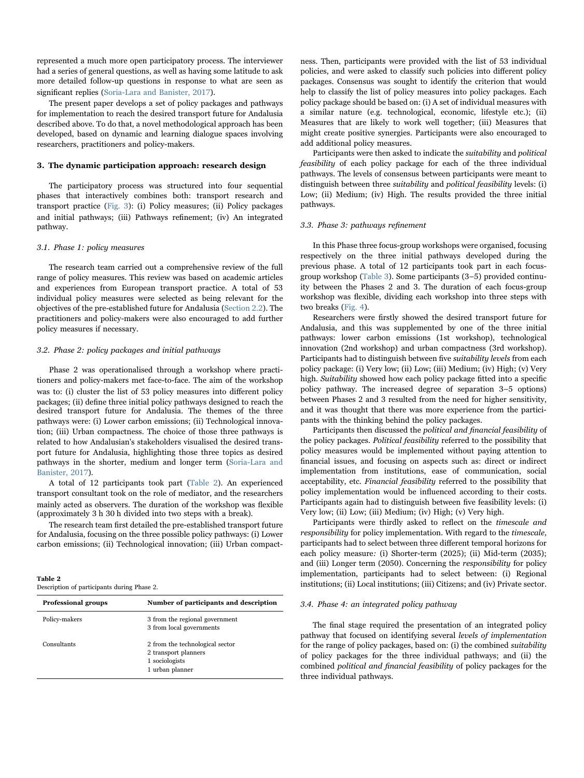represented a much more open participatory process. The interviewer had a series of general questions, as well as having some latitude to ask more detailed follow-up questions in response to what are seen as significant replies [\(Soria-Lara](#page-11-3) and Banister, 2017).

The present paper develops a set of policy packages and pathways for implementation to reach the desired transport future for Andalusia described above. To do that, a novel methodological approach has been developed, based on dynamic and learning dialogue spaces involving researchers, practitioners and policy-makers.

# <span id="page-3-0"></span>3. The dynamic participation approach: research design

The participatory process was structured into four sequential phases that interactively combines both: transport research and transport practice [\(Fig.](#page-2-1) 3): (i) Policy measures; (ii) Policy packages and initial pathways; (iii) Pathways refinement; (iv) An integrated pathway.

# 3.1. Phase 1: policy measures

The research team carried out a comprehensive review of the full range of policy measures. This review was based on academic articles and experiences from European transport practice. A total of 53 individual policy measures were selected as being relevant for the objectives of the pre-established future for Andalusia ([Section](#page-2-2) 2.2). The practitioners and policy-makers were also encouraged to add further policy measures if necessary.

### 3.2. Phase 2: policy packages and initial pathways

Phase 2 was operationalised through a workshop where practitioners and policy-makers met face-to-face. The aim of the workshop was to: (i) cluster the list of 53 policy measures into different policy packages; (ii) define three initial policy pathways designed to reach the desired transport future for Andalusia. The themes of the three pathways were: (i) Lower carbon emissions; (ii) Technological innovation; (iii) Urban compactness. The choice of those three pathways is related to how Andalusian's stakeholders visualised the desired transport future for Andalusia, highlighting those three topics as desired pathways in the shorter, medium and longer term ([Soria-Lara](#page-11-3) and [Banister,](#page-11-3) 2017).

A total of 12 participants took part ([Table](#page-3-1) 2). An experienced transport consultant took on the role of mediator, and the researchers mainly acted as observers. The duration of the workshop was flexible (approximately 3 h 30 h divided into two steps with a break).

The research team first detailed the pre-established transport future for Andalusia, focusing on the three possible policy pathways: (i) Lower carbon emissions; (ii) Technological innovation; (iii) Urban compact-

#### <span id="page-3-1"></span>Table 2

Description of participants during Phase 2.

| <b>Professional groups</b> | Number of participants and description                                                       |
|----------------------------|----------------------------------------------------------------------------------------------|
| Policy-makers              | 3 from the regional government<br>3 from local governments                                   |
| Consultants                | 2 from the technological sector<br>2 transport planners<br>1 sociologists<br>1 urban planner |

ness. Then, participants were provided with the list of 53 individual policies, and were asked to classify such policies into different policy packages. Consensus was sought to identify the criterion that would help to classify the list of policy measures into policy packages. Each policy package should be based on: (i) A set of individual measures with a similar nature (e.g. technological, economic, lifestyle etc.); (ii) Measures that are likely to work well together; (iii) Measures that might create positive synergies. Participants were also encouraged to add additional policy measures.

Participants were then asked to indicate the suitability and political feasibility of each policy package for each of the three individual pathways. The levels of consensus between participants were meant to distinguish between three suitability and political feasibility levels: (i) Low; (ii) Medium; (iv) High. The results provided the three initial pathways.

#### 3.3. Phase 3: pathways refinement

In this Phase three focus-group workshops were organised, focusing respectively on the three initial pathways developed during the previous phase. A total of 12 participants took part in each focusgroup workshop [\(Table 3\)](#page-4-1). Some participants (3–5) provided continuity between the Phases 2 and 3. The duration of each focus-group workshop was flexible, dividing each workshop into three steps with two breaks [\(Fig. 4\)](#page-4-2).

Researchers were firstly showed the desired transport future for Andalusia, and this was supplemented by one of the three initial pathways: lower carbon emissions (1st workshop), technological innovation (2nd workshop) and urban compactness (3rd workshop). Participants had to distinguish between five suitability levels from each policy package: (i) Very low; (ii) Low; (iii) Medium; (iv) High; (v) Very high. Suitability showed how each policy package fitted into a specific policy pathway. The increased degree of separation 3–5 options) between Phases 2 and 3 resulted from the need for higher sensitivity, and it was thought that there was more experience from the participants with the thinking behind the policy packages.

Participants then discussed the political and financial feasibility of the policy packages. Political feasibility referred to the possibility that policy measures would be implemented without paying attention to financial issues, and focusing on aspects such as: direct or indirect implementation from institutions, ease of communication, social acceptability, etc. Financial feasibility referred to the possibility that policy implementation would be influenced according to their costs. Participants again had to distinguish between five feasibility levels: (i) Very low; (ii) Low; (iii) Medium; (iv) High; (v) Very high.

Participants were thirdly asked to reflect on the timescale and responsibility for policy implementation. With regard to the timescale, participants had to select between three different temporal horizons for each policy measure: (i) Shorter-term (2025); (ii) Mid-term (2035); and (iii) Longer term (2050). Concerning the responsibility for policy implementation, participants had to select between: (i) Regional institutions; (ii) Local institutions; (iii) Citizens; and (iv) Private sector.

# 3.4. Phase 4: an integrated policy pathway

The final stage required the presentation of an integrated policy pathway that focused on identifying several levels of implementation for the range of policy packages, based on: (i) the combined suitability of policy packages for the three individual pathways; and (ii) the combined political and financial feasibility of policy packages for the three individual pathways.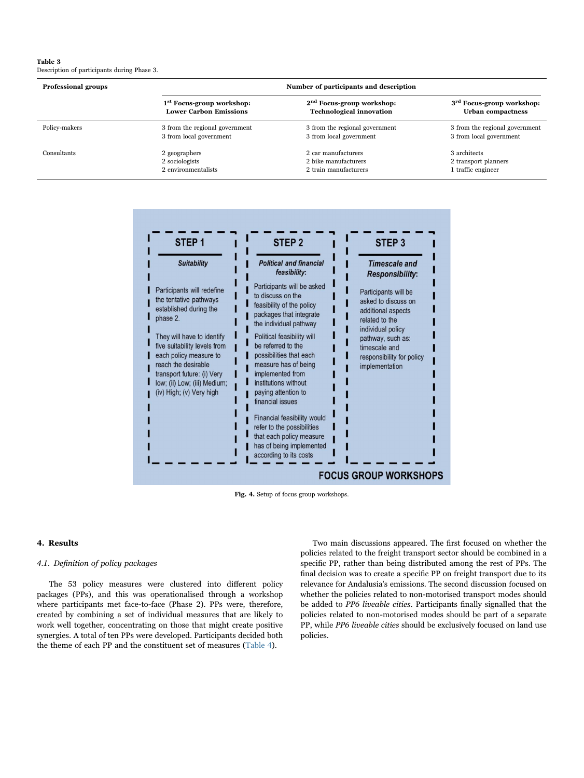#### <span id="page-4-1"></span>Table 3 Description of participants during Phase 3.

| <b>Professional groups</b> | Number of participants and description |                                       |                                       |  |  |
|----------------------------|----------------------------------------|---------------------------------------|---------------------------------------|--|--|
|                            | <sup>1st</sup> Focus-group workshop:   | 2 <sup>nd</sup> Focus-group workshop: | 3 <sup>rd</sup> Focus-group workshop: |  |  |
|                            | <b>Lower Carbon Emissions</b>          | <b>Technological innovation</b>       | <b>Urban compactness</b>              |  |  |
| Policy-makers              | 3 from the regional government         | 3 from the regional government        | 3 from the regional government        |  |  |
|                            | 3 from local government                | 3 from local government               | 3 from local government               |  |  |
| Consultants                | 2 geographers                          | 2 car manufacturers                   | 3 architects                          |  |  |
|                            | 2 sociologists                         | 2 bike manufacturers                  | 2 transport planners                  |  |  |
|                            | 2 environmentalists                    | 2 train manufacturers                 | 1 traffic engineer                    |  |  |

<span id="page-4-2"></span>

| STEP <sub>1</sub>                                                                                                                                                                                                                                                                                   | STEP <sub>2</sub>                                                                                                                                                                                                                                                                                                                                                                                                                                                              | STEP <sub>3</sub>                                                                                                                                                                             |  |  |
|-----------------------------------------------------------------------------------------------------------------------------------------------------------------------------------------------------------------------------------------------------------------------------------------------------|--------------------------------------------------------------------------------------------------------------------------------------------------------------------------------------------------------------------------------------------------------------------------------------------------------------------------------------------------------------------------------------------------------------------------------------------------------------------------------|-----------------------------------------------------------------------------------------------------------------------------------------------------------------------------------------------|--|--|
| <b>Suitability</b>                                                                                                                                                                                                                                                                                  | <b>Political and financial</b><br>feasibility:                                                                                                                                                                                                                                                                                                                                                                                                                                 | <b>Timescale and</b><br><b>Responsibility:</b>                                                                                                                                                |  |  |
| Participants will redefine<br>the tentative pathways<br>established during the<br>phase 2.<br>They will have to identify<br>five suitability levels from<br>each policy measure to<br>reach the desirable<br>transport future: (i) Very<br>low; (ii) Low; (iii) Medium;<br>(iv) High; (v) Very high | Participants will be asked<br>to discuss on the<br>feasibility of the policy<br>packages that integrate<br>the individual pathway<br>Political feasibility will<br>be referred to the<br>possibilities that each<br>measure has of being<br>implemented from<br>institutions without<br>paying attention to<br>financial issues<br>Financial feasibility would<br>refer to the possibilities<br>that each policy measure<br>has of being implemented<br>according to its costs | Participants will be<br>asked to discuss on<br>additional aspects<br>related to the<br>individual policy<br>pathway, such as:<br>timescale and<br>responsibility for policy<br>implementation |  |  |

Fig. 4. Setup of focus group workshops.

# <span id="page-4-0"></span>4. Results

# 4.1. Definition of policy packages

The 53 policy measures were clustered into different policy packages (PPs), and this was operationalised through a workshop where participants met face-to-face (Phase 2). PPs were, therefore, created by combining a set of individual measures that are likely to work well together, concentrating on those that might create positive synergies. A total of ten PPs were developed. Participants decided both the theme of each PP and the constituent set of measures ([Table 4](#page-5-0)).

Two main discussions appeared. The first focused on whether the policies related to the freight transport sector should be combined in a specific PP, rather than being distributed among the rest of PPs. The final decision was to create a specific PP on freight transport due to its relevance for Andalusia's emissions. The second discussion focused on whether the policies related to non-motorised transport modes should be added to PP6 liveable cities. Participants finally signalled that the policies related to non-motorised modes should be part of a separate PP, while PP6 liveable cities should be exclusively focused on land use policies.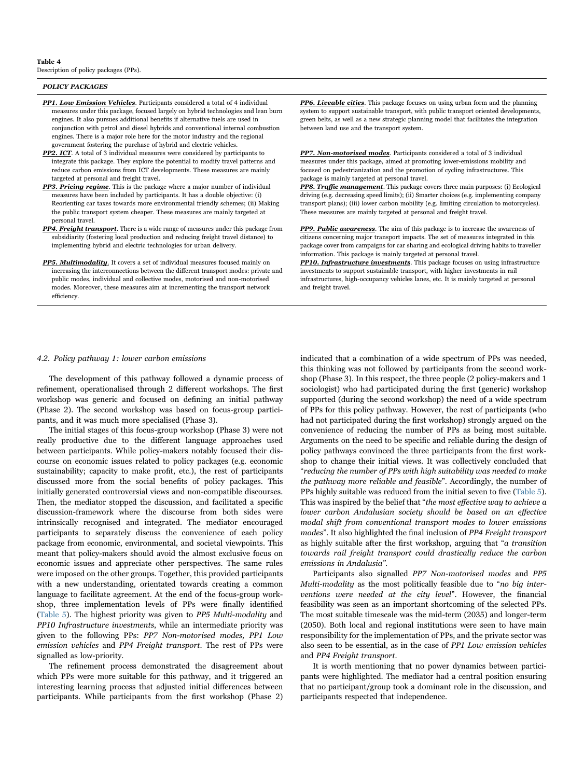#### <span id="page-5-0"></span>POLICY PACKAGES

- PP1. Low Emission Vehicles. Participants considered a total of 4 individual measures under this package, focused largely on hybrid technologies and lean burn engines. It also pursues additional benefits if alternative fuels are used in conjunction with petrol and diesel hybrids and conventional internal combustion engines. There is a major role here for the motor industry and the regional government fostering the purchase of hybrid and electric vehicles.
- PP2. ICT. A total of 3 individual measures were considered by participants to integrate this package. They explore the potential to modify travel patterns and reduce carbon emissions from ICT developments. These measures are mainly targeted at personal and freight travel.
- **PP3. Pricing regime**. This is the package where a major number of individual measures have been included by participants. It has a double objective: (i) Reorienting car taxes towards more environmental friendly schemes; (ii) Making the public transport system cheaper. These measures are mainly targeted at personal travel.
- **PP4. Freight transport**. There is a wide range of measures under this package from subsidiarity (fostering local production and reducing freight travel distance) to implementing hybrid and electric technologies for urban delivery.
- PP5. Multimodality. It covers a set of individual measures focused mainly on increasing the interconnections between the different transport modes: private and public modes, individual and collective modes, motorised and non-motorised modes. Moreover, these measures aim at incrementing the transport network efficiency.

PP6. Liveable cities. This package focuses on using urban form and the planning system to support sustainable transport, with public transport oriented developments, green belts, as well as a new strategic planning model that facilitates the integration between land use and the transport system.

PP7. Non-motorised modes. Participants considered a total of 3 individual measures under this package, aimed at promoting lower-emissions mobility and focused on pedestrianization and the promotion of cycling infrastructures. This package is mainly targeted at personal travel.

PP8. Traffic management. This package covers three main purposes: (i) Ecological driving (e.g. decreasing speed limits); (ii) Smarter choices (e.g. implementing company transport plans); (iii) lower carbon mobility (e.g. limiting circulation to motorcycles). These measures are mainly targeted at personal and freight travel.

**PP9. Public awareness**. The aim of this package is to increase the awareness of citizens concerning major transport impacts. The set of measures integrated in this package cover from campaigns for car sharing and ecological driving habits to traveller information. This package is mainly targeted at personal travel.

PP10. Infrastructure investments. This package focuses on using infrastructure investments to support sustainable transport, with higher investments in rail infrastructures, high-occupancy vehicles lanes, etc. It is mainly targeted at personal and freight travel.

# <span id="page-5-1"></span>4.2. Policy pathway 1: lower carbon emissions

The development of this pathway followed a dynamic process of refinement, operationalised through 2 different workshops. The first workshop was generic and focused on defining an initial pathway (Phase 2). The second workshop was based on focus-group participants, and it was much more specialised (Phase 3).

The initial stages of this focus-group workshop (Phase 3) were not really productive due to the different language approaches used between participants. While policy-makers notably focused their discourse on economic issues related to policy packages (e.g. economic sustainability; capacity to make profit, etc.), the rest of participants discussed more from the social benefits of policy packages. This initially generated controversial views and non-compatible discourses. Then, the mediator stopped the discussion, and facilitated a specific discussion-framework where the discourse from both sides were intrinsically recognised and integrated. The mediator encouraged participants to separately discuss the convenience of each policy package from economic, environmental, and societal viewpoints. This meant that policy-makers should avoid the almost exclusive focus on economic issues and appreciate other perspectives. The same rules were imposed on the other groups. Together, this provided participants with a new understanding, orientated towards creating a common language to facilitate agreement. At the end of the focus-group workshop, three implementation levels of PPs were finally identified ([Table 5\)](#page-6-0). The highest priority was given to PP5 Multi-modality and PP10 Infrastructure investments, while an intermediate priority was given to the following PPs: PP7 Non-motorised modes, PP1 Low emission vehicles and PP4 Freight transport. The rest of PPs were signalled as low-priority.

The refinement process demonstrated the disagreement about which PPs were more suitable for this pathway, and it triggered an interesting learning process that adjusted initial differences between participants. While participants from the first workshop (Phase 2) indicated that a combination of a wide spectrum of PPs was needed, this thinking was not followed by participants from the second workshop (Phase 3). In this respect, the three people (2 policy-makers and 1 sociologist) who had participated during the first (generic) workshop supported (during the second workshop) the need of a wide spectrum of PPs for this policy pathway. However, the rest of participants (who had not participated during the first workshop) strongly argued on the convenience of reducing the number of PPs as being most suitable. Arguments on the need to be specific and reliable during the design of policy pathways convinced the three participants from the first workshop to change their initial views. It was collectively concluded that "reducing the number of PPs with high suitability was needed to make the pathway more reliable and feasible". Accordingly, the number of PPs highly suitable was reduced from the initial seven to five [\(Table 5\)](#page-6-0). This was inspired by the belief that "the most effective way to achieve a lower carbon Andalusian society should be based on an effective modal shift from conventional transport modes to lower emissions modes". It also highlighted the final inclusion of PP4 Freight transport as highly suitable after the first workshop, arguing that "a transition towards rail freight transport could drastically reduce the carbon emissions in Andalusia".

Participants also signalled PP7 Non-motorised modes and PP5 Multi-modality as the most politically feasible due to "no big interventions were needed at the city level". However, the financial feasibility was seen as an important shortcoming of the selected PPs. The most suitable timescale was the mid-term (2035) and longer-term (2050). Both local and regional institutions were seen to have main responsibility for the implementation of PPs, and the private sector was also seen to be essential, as in the case of PP1 Low emission vehicles and PP4 Freight transport.

It is worth mentioning that no power dynamics between participants were highlighted. The mediator had a central position ensuring that no participant/group took a dominant role in the discussion, and participants respected that independence.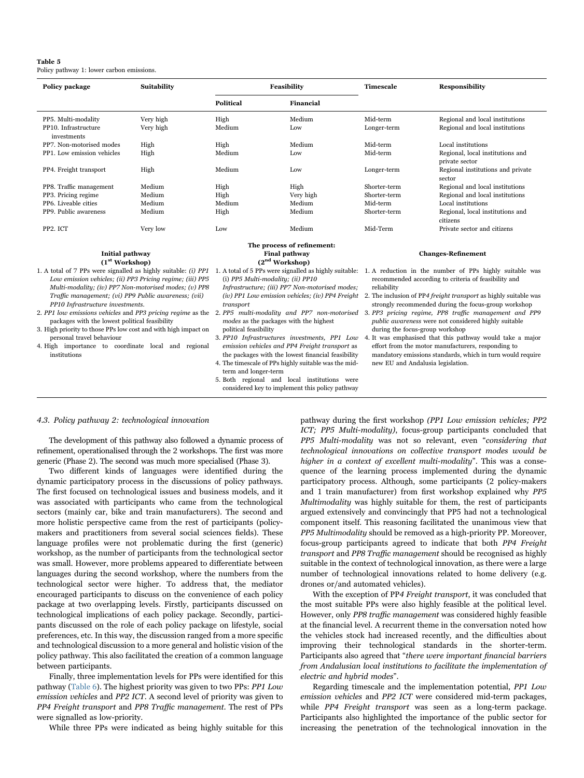#### <span id="page-6-0"></span>Table 5

Policy pathway 1: lower carbon emissions.

| Policy package<br>Suitability                                                                                                                                                                                                                                                                                                                                                                   |           | <b>Feasibility</b>    |                                                                                                                                                                                                                                                                 | <b>Timescale</b>                                                                                                                                                                                                                                                | <b>Responsibility</b>                              |  |
|-------------------------------------------------------------------------------------------------------------------------------------------------------------------------------------------------------------------------------------------------------------------------------------------------------------------------------------------------------------------------------------------------|-----------|-----------------------|-----------------------------------------------------------------------------------------------------------------------------------------------------------------------------------------------------------------------------------------------------------------|-----------------------------------------------------------------------------------------------------------------------------------------------------------------------------------------------------------------------------------------------------------------|----------------------------------------------------|--|
|                                                                                                                                                                                                                                                                                                                                                                                                 |           | <b>Political</b>      | Financial                                                                                                                                                                                                                                                       |                                                                                                                                                                                                                                                                 |                                                    |  |
| PP5. Multi-modality                                                                                                                                                                                                                                                                                                                                                                             | Very high | High                  | Medium                                                                                                                                                                                                                                                          | Mid-term                                                                                                                                                                                                                                                        | Regional and local institutions                    |  |
| PP10. Infrastructure<br>investments                                                                                                                                                                                                                                                                                                                                                             | Very high | Medium                | Low                                                                                                                                                                                                                                                             | Longer-term                                                                                                                                                                                                                                                     | Regional and local institutions                    |  |
| PP7. Non-motorised modes                                                                                                                                                                                                                                                                                                                                                                        | High      | High                  | Medium                                                                                                                                                                                                                                                          | Mid-term                                                                                                                                                                                                                                                        | Local institutions                                 |  |
| PP1. Low emission vehicles                                                                                                                                                                                                                                                                                                                                                                      | High      | Medium                | Low                                                                                                                                                                                                                                                             | Mid-term                                                                                                                                                                                                                                                        | Regional, local institutions and<br>private sector |  |
| PP4. Freight transport                                                                                                                                                                                                                                                                                                                                                                          | High      | Medium                | Low                                                                                                                                                                                                                                                             | Longer-term                                                                                                                                                                                                                                                     | Regional institutions and private<br>sector        |  |
| PP8. Traffic management                                                                                                                                                                                                                                                                                                                                                                         | Medium    | High                  | High                                                                                                                                                                                                                                                            | Shorter-term                                                                                                                                                                                                                                                    | Regional and local institutions                    |  |
| PP3. Pricing regime                                                                                                                                                                                                                                                                                                                                                                             | Medium    | High                  | Very high                                                                                                                                                                                                                                                       | Shorter-term                                                                                                                                                                                                                                                    | Regional and local institutions                    |  |
| PP6. Liveable cities                                                                                                                                                                                                                                                                                                                                                                            | Medium    | Medium                | Medium                                                                                                                                                                                                                                                          | Mid-term                                                                                                                                                                                                                                                        | Local institutions                                 |  |
| PP9. Public awareness                                                                                                                                                                                                                                                                                                                                                                           | Medium    | High                  | Medium                                                                                                                                                                                                                                                          | Shorter-term                                                                                                                                                                                                                                                    | Regional, local institutions and<br>citizens       |  |
| PP2. ICT                                                                                                                                                                                                                                                                                                                                                                                        | Very low  | Low                   | Medium                                                                                                                                                                                                                                                          | Mid-Term                                                                                                                                                                                                                                                        | Private sector and citizens                        |  |
|                                                                                                                                                                                                                                                                                                                                                                                                 |           |                       | The process of refinement:                                                                                                                                                                                                                                      |                                                                                                                                                                                                                                                                 |                                                    |  |
| <b>Initial pathway</b>                                                                                                                                                                                                                                                                                                                                                                          |           |                       | <b>Final pathway</b>                                                                                                                                                                                                                                            |                                                                                                                                                                                                                                                                 | <b>Changes-Refinement</b>                          |  |
| (1 <sup>st</sup> Workshop)                                                                                                                                                                                                                                                                                                                                                                      |           |                       | (2 <sup>nd</sup> Workshop)                                                                                                                                                                                                                                      |                                                                                                                                                                                                                                                                 |                                                    |  |
| 1. A total of 7 PPs were signalled as highly suitable: (i) PP1 1. A total of 5 PPs were signalled as highly suitable: 1. A reduction in the number of PPs highly suitable was<br>Low emission vehicles; (ii) PP3 Pricing regime; (iii) PP5<br>Multi-modality; (iv) PP7 Non-motorised modes; (v) PP8<br>Traffic management; (vi) PP9 Public awareness; (vii)<br>PP10 Infrastructure investments. |           | transport             | (i) PP5 Multi-modality; (ii) PP10<br>Infrastructure; (iii) PP7 Non-motorised modes;<br>(iv) PP1 Low emission vehicles; (iv) PP4 Freight                                                                                                                         | recommended according to criteria of feasibility and<br>reliability<br>2. The inclusion of PP4 freight transport as highly suitable was<br>strongly recommended during the focus-group workshop                                                                 |                                                    |  |
| 2. PP1 low emissions vehicles and PP3 pricing regime as the 2. PP5 multi-modality and PP7 non-motorised 3. PP3 pricing regime, PP8 traffic management and PP9<br>packages with the lowest political feasibility<br>3. High priority to those PPs low cost and with high impact on                                                                                                               |           | political feasibility | modes as the packages with the highest                                                                                                                                                                                                                          | public awareness were not considered highly suitable<br>during the focus-group workshop                                                                                                                                                                         |                                                    |  |
| personal travel behaviour<br>4. High importance to coordinate local and regional<br>institutions                                                                                                                                                                                                                                                                                                |           | term and longer-term  | emission vehicles and PP4 Freight transport as<br>the packages with the lowest financial feasibility<br>4. The timescale of PPs highly suitable was the mid-<br>5. Both regional and local institutions were<br>considered key to implement this policy pathway | 3. PP10 Infrastructures investments, PP1 Low 4. It was emphasised that this pathway would take a major<br>effort from the motor manufacturers, responding to<br>mandatory emissions standards, which in turn would require<br>new EU and Andalusia legislation. |                                                    |  |

#### 4.3. Policy pathway 2: technological innovation

The development of this pathway also followed a dynamic process of refinement, operationalised through the 2 workshops. The first was more generic (Phase 2). The second was much more specialised (Phase 3).

Two different kinds of languages were identified during the dynamic participatory process in the discussions of policy pathways. The first focused on technological issues and business models, and it was associated with participants who came from the technological sectors (mainly car, bike and train manufacturers). The second and more holistic perspective came from the rest of participants (policymakers and practitioners from several social sciences fields). These language profiles were not problematic during the first (generic) workshop, as the number of participants from the technological sector was small. However, more problems appeared to differentiate between languages during the second workshop, where the numbers from the technological sector were higher. To address that, the mediator encouraged participants to discuss on the convenience of each policy package at two overlapping levels. Firstly, participants discussed on technological implications of each policy package. Secondly, participants discussed on the role of each policy package on lifestyle, social preferences, etc. In this way, the discussion ranged from a more specific and technological discussion to a more general and holistic vision of the policy pathway. This also facilitated the creation of a common language between participants.

Finally, three implementation levels for PPs were identified for this pathway ([Table 6\)](#page-7-0). The highest priority was given to two PPs: PP1 Low emission vehicles and PP2 ICT. A second level of priority was given to PP4 Freight transport and PP8 Traffic management. The rest of PPs were signalled as low-priority.

While three PPs were indicated as being highly suitable for this

pathway during the first workshop (PP1 Low emission vehicles; PP2 ICT; PP5 Multi-modality), focus-group participants concluded that PP5 Multi-modality was not so relevant, even "considering that technological innovations on collective transport modes would be higher in a context of excellent multi-modality". This was a consequence of the learning process implemented during the dynamic participatory process. Although, some participants (2 policy-makers and 1 train manufacturer) from first workshop explained why PP5 Multimodality was highly suitable for them, the rest of participants argued extensively and convincingly that PP5 had not a technological component itself. This reasoning facilitated the unanimous view that PP5 Multimodality should be removed as a high-priority PP. Moreover, focus-group participants agreed to indicate that both PP4 Freight transport and PP8 Traffic management should be recognised as highly suitable in the context of technological innovation, as there were a large number of technological innovations related to home delivery (e.g. drones or/and automated vehicles).

With the exception of PP4 Freight transport, it was concluded that the most suitable PPs were also highly feasible at the political level. However, only PP8 traffic management was considered highly feasible at the financial level. A recurrent theme in the conversation noted how the vehicles stock had increased recently, and the difficulties about improving their technological standards in the shorter-term. Participants also agreed that "there were important financial barriers from Andalusian local institutions to facilitate the implementation of electric and hybrid modes".

Regarding timescale and the implementation potential, PP1 Low emission vehicles and PP2 ICT were considered mid-term packages, while PP4 Freight transport was seen as a long-term package. Participants also highlighted the importance of the public sector for increasing the penetration of the technological innovation in the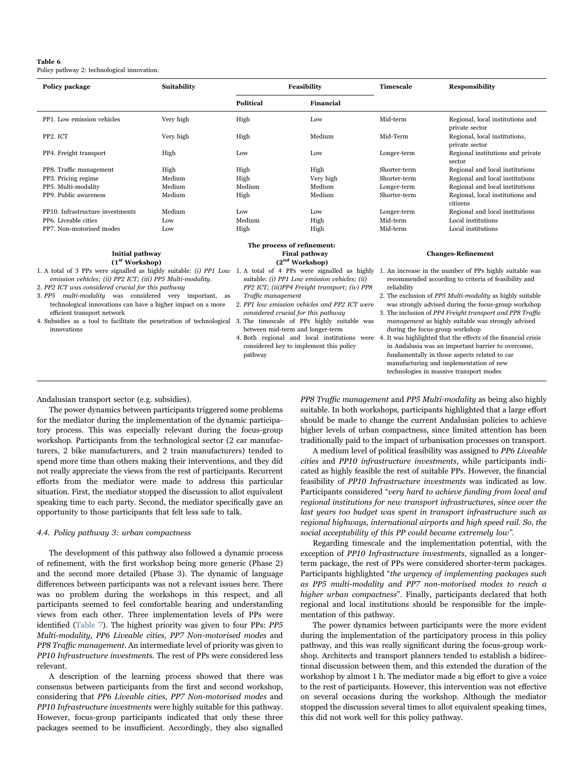#### <span id="page-7-0"></span>Table 6

Policy pathway 2: technological innovation.

| Policy package                                | <b>Suitability</b> | Feasibility                                        |                            | <b>Timescale</b> | <b>Responsibility</b>                              |  |
|-----------------------------------------------|--------------------|----------------------------------------------------|----------------------------|------------------|----------------------------------------------------|--|
|                                               |                    | <b>Political</b>                                   | <b>Financial</b>           |                  |                                                    |  |
| PP1. Low emission vehicles                    | Very high          | High                                               | Low                        | Mid-term         | Regional, local institutions and<br>private sector |  |
| PP2. ICT                                      | Very high          | High                                               | Medium                     | Mid-Term         | Regional, local institutions,<br>private sector    |  |
| PP4. Freight transport                        | High               | Low                                                | Low                        | Longer-term      | Regional institutions and private<br>sector        |  |
| PP8. Traffic management                       | High               | High                                               | High                       | Shorter-term     | Regional and local institutions                    |  |
| PP3. Pricing regime                           | Medium             | High                                               | Very high                  | Shorter-term     | Regional and local institutions                    |  |
| PP5. Multi-modality                           | Medium             | Medium                                             | Medium                     | Longer-term      | Regional and local institutions                    |  |
| PP9. Public awareness                         | Medium             | High                                               | Medium                     | Shorter-term     | Regional, local institutions and<br>citizens       |  |
| PP10. Infrastructure investments              | Medium             | Low                                                | Low                        | Longer-term      | Regional and local institutions                    |  |
| PP6. Liveable cities                          | Low                | Medium                                             | High                       | Mid-term         | Local institutions                                 |  |
| PP7. Non-motorised modes                      | Low                | High                                               | High                       | Mid-term         | Local institutions                                 |  |
|                                               |                    |                                                    | The process of refinement: |                  |                                                    |  |
| Initial pathway<br>(1 <sup>st</sup> Workshop) |                    | <b>Final pathway</b><br>(2 <sup>nd</sup> Workshop) |                            |                  | <b>Changes-Refinement</b>                          |  |

1. A total of 3 PPs were signalled as highly suitable: (i) PP1 Low 1. A total of 4 PPs were signalled as highly emission vehicles; (ii) PP2 ICT; (iii) PP5 Multi-modality. 2. PP2 ICT was considered crucial for this pathway

3. PP5 multi-modality was considered very important, as technological innovations can have a higher impact on a more

efficient transport network 4. Subsidies as a tool to facilitate the penetration of technological innovations

| The process of refinement: |
|----------------------------|
| <b>Final pathway</b>       |
| (2 <sup>nd</sup> Workshop) |

- suitable: (i) PP1 Low emission vehicles: (ii) PP2 ICT; (iii)PP4 Freight transport; (iv) PP8 Traffic management
- 2. PP1 low emission vehicles and PP2 ICT were considered crucial for this pathway
- 3. The timescale of PPs highly suitable between mid-term and longer-term 4. Both regional and local institutions were considered key to implement this policy
	- pathway
- 1. An increase in the number of PPs highly suitable was recommended according to criteria of feasibility and reliability
- 2. The exclusion of PP5 Multi-modality as highly suitable was strongly advised during the focus-group workshop
- 3. The inclusion of PP4 Freight transport and PP8 Traffic management as highly suitable was strongly advised
- during the focus-group workshop 4. It was highlighted that the effects of the financial crisis in Andalusia was an important barrier to overcome, fundamentally in those aspects related to car manufacturing and implementation of new technologies in massive transport modes

Andalusian transport sector (e.g. subsidies).

The power dynamics between participants triggered some problems for the mediator during the implementation of the dynamic participatory process. This was especially relevant during the focus-group workshop. Participants from the technological sector (2 car manufacturers, 2 bike manufacturers, and 2 train manufacturers) tended to spend more time than others making their interventions, and they did not really appreciate the views from the rest of participants. Recurrent efforts from the mediator were made to address this particular situation. First, the mediator stopped the discussion to allot equivalent speaking time to each party. Second, the mediator specifically gave an opportunity to those participants that felt less safe to talk.

# 4.4. Policy pathway 3: urban compactness

The development of this pathway also followed a dynamic process of refinement, with the first workshop being more generic (Phase 2) and the second more detailed (Phase 3). The dynamic of language differences between participants was not a relevant issues here. There was no problem during the workshops in this respect, and all participants seemed to feel comfortable hearing and understanding views from each other. Three implementation levels of PPs were identified [\(Table 7\)](#page-8-0). The highest priority was given to four PPs: PP5 Multi-modality, PP6 Liveable cities, PP7 Non-motorised modes and PP8 Traffic management. An intermediate level of priority was given to PP10 Infrastructure investments. The rest of PPs were considered less relevant.

A description of the learning process showed that there was consensus between participants from the first and second workshop, considering that PP6 Liveable cities, PP7 Non-motorised modes and PP10 Infrastructure investments were highly suitable for this pathway. However, focus-group participants indicated that only these three packages seemed to be insufficient. Accordingly, they also signalled

PP8 Traffic management and PP5 Multi-modality as being also highly suitable. In both workshops, participants highlighted that a large effort should be made to change the current Andalusian policies to achieve higher levels of urban compactness, since limited attention has been traditionally paid to the impact of urbanisation processes on transport.

A medium level of political feasibility was assigned to PP6 Liveable cities and PP10 infrastructure investments, while participants indicated as highly feasible the rest of suitable PPs. However, the financial feasibility of PP10 Infrastructure investments was indicated as low. Participants considered "very hard to achieve funding from local and regional institutions for new transport infrastructures, since over the last years too budget was spent in transport infrastructure such as regional highways, international airports and high speed rail. So, the social acceptability of this PP could became extremely low".

Regarding timescale and the implementation potential, with the exception of PP10 Infrastructure investments, signalled as a longerterm package, the rest of PPs were considered shorter-term packages. Participants highlighted "the urgency of implementing packages such as PP5 multi-modality and PP7 non-motorised modes to reach a higher urban compactness". Finally, participants declared that both regional and local institutions should be responsible for the implementation of this pathway.

The power dynamics between participants were the more evident during the implementation of the participatory process in this policy pathway, and this was really significant during the focus-group workshop. Architects and transport planners tended to establish a bidirectional discussion between them, and this extended the duration of the workshop by almost 1 h. The mediator made a big effort to give a voice to the rest of participants. However, this intervention was not effective on several occasions during the workshop. Although the mediator stopped the discussion several times to allot equivalent speaking times, this did not work well for this policy pathway.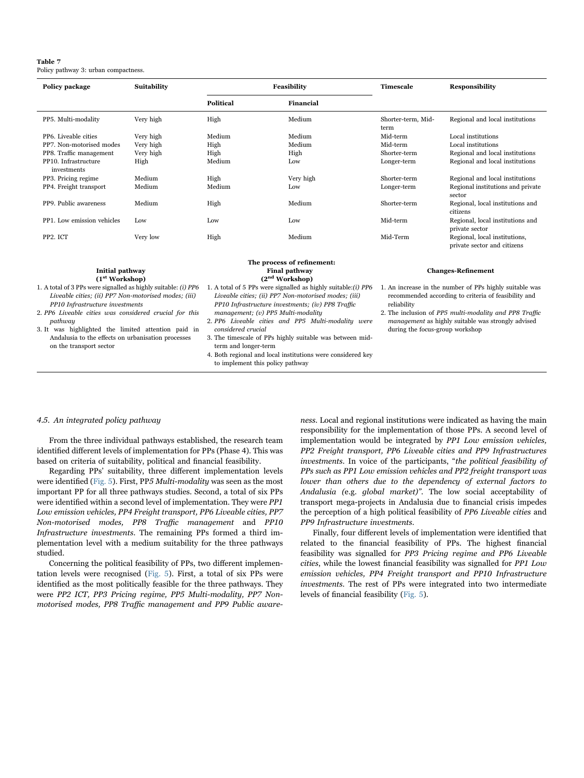#### <span id="page-8-0"></span>Table 7 Policy pathway 3: urban compactness.

| Policy package                                | <b>Suitability</b> | Feasibility |                                             | <b>Timescale</b>           | <b>Responsibility</b>                                        |
|-----------------------------------------------|--------------------|-------------|---------------------------------------------|----------------------------|--------------------------------------------------------------|
|                                               |                    | Political   | Financial                                   |                            |                                                              |
| PP5. Multi-modality                           | Very high          | High        | Medium                                      | Shorter-term, Mid-<br>term | Regional and local institutions                              |
| PP6. Liveable cities                          | Very high          | Medium      | Medium                                      | Mid-term                   | Local institutions                                           |
| PP7. Non-motorised modes                      | Very high          | High        | Medium                                      | Mid-term                   | Local institutions                                           |
| PP8. Traffic management                       | Very high          | High        | High                                        | Shorter-term               | Regional and local institutions                              |
| PP10. Infrastructure<br>investments           | High               | Medium      | Low                                         | Longer-term                | Regional and local institutions                              |
| PP3. Pricing regime                           | Medium             | High        | Very high                                   | Shorter-term               | Regional and local institutions                              |
| PP4. Freight transport                        | Medium             | Medium      | Low                                         | Longer-term                | Regional institutions and private<br>sector                  |
| PP9. Public awareness                         | Medium             | High        | Medium                                      | Shorter-term               | Regional, local institutions and<br>citizens                 |
| PP1. Low emission vehicles                    | Low                | Low         | Low                                         | Mid-term                   | Regional, local institutions and<br>private sector           |
| PP2. ICT                                      | Very low           | High        | Medium                                      | Mid-Term                   | Regional, local institutions,<br>private sector and citizens |
|                                               |                    |             | The process of refinement:                  |                            |                                                              |
| Initial pathway<br>(1 <sup>st</sup> Workshop) |                    |             | Final pathway<br>(2 <sup>nd</sup> Workshop) |                            | <b>Changes-Refinement</b>                                    |

#### 1. A total of 3 PPs were signalled as highly suitable: (i) PP6 Liveable cities; (ii) PP7 Non-motorised modes; (iii) PP10 Infrastructure investments

2. PP6 Liveable cities was considered crucial for this pathway

3. It was highlighted the limited attention paid in Andalusia to the effects on urbanisation processes on the transport sector

- 1. A total of 5 PPs were signalled as highly suitable:(i) PP6 1. An increase in the number of PPs highly suitable was Liveable cities; (ii) PP7 Non-motorised modes; (iii) PP10 Infrastructure investments; (iv) PP8 Traffic management; (v) PP5 Multi-modality
- 2. PP6 Liveable cities and PP5 Multi-modality were considered crucial
- 3. The timescale of PPs highly suitable was between midterm and longer-term
- 4. Both regional and local institutions were considered key to implement this policy pathway

recommended according to criteria of feasibility and reliability

2. The inclusion of PP5 multi-modality and PP8 Traffic management as highly suitable was strongly advised during the focus-group workshop

# 4.5. An integrated policy pathway

From the three individual pathways established, the research team identified different levels of implementation for PPs (Phase 4). This was based on criteria of suitability, political and financial feasibility.

Regarding PPs' suitability, three different implementation levels were identified [\(Fig. 5\)](#page-9-1). First, PP5 Multi-modality was seen as the most important PP for all three pathways studies. Second, a total of six PPs were identified within a second level of implementation. They were PP1 Low emission vehicles, PP4 Freight transport, PP6 Liveable cities, PP7 Non-motorised modes, PP8 Traffic management and PP10 Infrastructure investments. The remaining PPs formed a third implementation level with a medium suitability for the three pathways studied.

Concerning the political feasibility of PPs, two different implementation levels were recognised ([Fig. 5](#page-9-1)). First, a total of six PPs were identified as the most politically feasible for the three pathways. They were PP2 ICT, PP3 Pricing regime, PP5 Multi-modality, PP7 Nonmotorised modes, PP8 Traffic management and PP9 Public aware-

ness. Local and regional institutions were indicated as having the main responsibility for the implementation of those PPs. A second level of implementation would be integrated by PP1 Low emission vehicles, PP2 Freight transport, PP6 Liveable cities and PP9 Infrastructures investments. In voice of the participants, "the political feasibility of PPs such as PP1 Low emission vehicles and PP2 freight transport was lower than others due to the dependency of external factors to Andalusia (e.g. global market)". The low social acceptability of transport mega-projects in Andalusia due to financial crisis impedes the perception of a high political feasibility of PP6 Liveable cities and PP9 Infrastructure investments.

Finally, four different levels of implementation were identified that related to the financial feasibility of PPs. The highest financial feasibility was signalled for PP3 Pricing regime and PP6 Liveable cities, while the lowest financial feasibility was signalled for PP1 Low emission vehicles, PP4 Freight transport and PP10 Infrastructure investments. The rest of PPs were integrated into two intermediate levels of financial feasibility [\(Fig. 5\)](#page-9-1).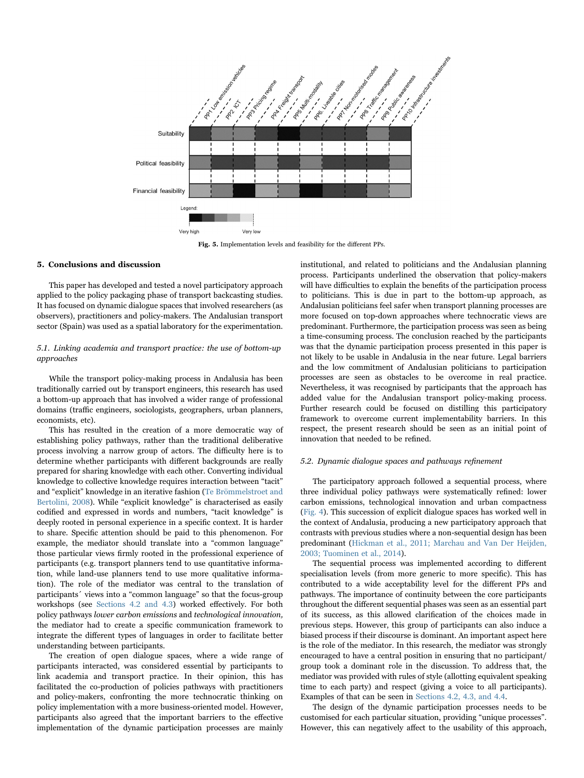<span id="page-9-1"></span>

Fig. 5. Implementation levels and feasibility for the different PPs.

# <span id="page-9-0"></span>5. Conclusions and discussion

This paper has developed and tested a novel participatory approach applied to the policy packaging phase of transport backcasting studies. It has focused on dynamic dialogue spaces that involved researchers (as observers), practitioners and policy-makers. The Andalusian transport sector (Spain) was used as a spatial laboratory for the experimentation.

# 5.1. Linking academia and transport practice: the use of bottom-up approaches

While the transport policy-making process in Andalusia has been traditionally carried out by transport engineers, this research has used a bottom-up approach that has involved a wider range of professional domains (traffic engineers, sociologists, geographers, urban planners, economists, etc).

This has resulted in the creation of a more democratic way of establishing policy pathways, rather than the traditional deliberative process involving a narrow group of actors. The difficulty here is to determine whether participants with different backgrounds are really prepared for sharing knowledge with each other. Converting individual knowledge to collective knowledge requires interaction between "tacit" and "explicit" knowledge in an iterative fashion [\(Te Brömmelstroet and](#page-11-4) [Bertolini, 2008\)](#page-11-4). While "explicit knowledge" is characterised as easily codified and expressed in words and numbers, "tacit knowledge" is deeply rooted in personal experience in a specific context. It is harder to share. Specific attention should be paid to this phenomenon. For example, the mediator should translate into a "common language" those particular views firmly rooted in the professional experience of participants (e.g. transport planners tend to use quantitative information, while land-use planners tend to use more qualitative information). The role of the mediator was central to the translation of participants´ views into a "common language" so that the focus-group workshops (see [Sections 4.2 and 4.3](#page-5-1)) worked effectively. For both policy pathways lower carbon emissions and technological innovation, the mediator had to create a specific communication framework to integrate the different types of languages in order to facilitate better understanding between participants.

The creation of open dialogue spaces, where a wide range of participants interacted, was considered essential by participants to link academia and transport practice. In their opinion, this has facilitated the co-production of policies pathways with practitioners and policy-makers, confronting the more technocratic thinking on policy implementation with a more business-oriented model. However, participants also agreed that the important barriers to the effective implementation of the dynamic participation processes are mainly

institutional, and related to politicians and the Andalusian planning process. Participants underlined the observation that policy-makers will have difficulties to explain the benefits of the participation process to politicians. This is due in part to the bottom-up approach, as Andalusian politicians feel safer when transport planning processes are more focused on top-down approaches where technocratic views are predominant. Furthermore, the participation process was seen as being a time-consuming process. The conclusion reached by the participants was that the dynamic participation process presented in this paper is not likely to be usable in Andalusia in the near future. Legal barriers and the low commitment of Andalusian politicians to participation processes are seen as obstacles to be overcome in real practice. Nevertheless, it was recognised by participants that the approach has added value for the Andalusian transport policy-making process. Further research could be focused on distilling this participatory framework to overcome current implementability barriers. In this respect, the present research should be seen as an initial point of innovation that needed to be refined.

#### 5.2. Dynamic dialogue spaces and pathways refinement

The participatory approach followed a sequential process, where three individual policy pathways were systematically refined: lower carbon emissions, technological innovation and urban compactness ([Fig. 4\)](#page-4-2). This succession of explicit dialogue spaces has worked well in the context of Andalusia, producing a new participatory approach that contrasts with previous studies where a non-sequential design has been predominant ([Hickman et al., 2011; Marchau and Van Der Heijden,](#page-10-6) [2003; Tuominen et al., 2014](#page-10-6)).

The sequential process was implemented according to different specialisation levels (from more generic to more specific). This has contributed to a wide acceptability level for the different PPs and pathways. The importance of continuity between the core participants throughout the different sequential phases was seen as an essential part of its success, as this allowed clarification of the choices made in previous steps. However, this group of participants can also induce a biased process if their discourse is dominant. An important aspect here is the role of the mediator. In this research, the mediator was strongly encouraged to have a central position in ensuring that no participant/ group took a dominant role in the discussion. To address that, the mediator was provided with rules of style (allotting equivalent speaking time to each party) and respect (giving a voice to all participants). Examples of that can be seen in [Sections 4.2, 4.3, and 4.4](#page-5-1).

The design of the dynamic participation processes needs to be customised for each particular situation, providing "unique processes". However, this can negatively affect to the usability of this approach,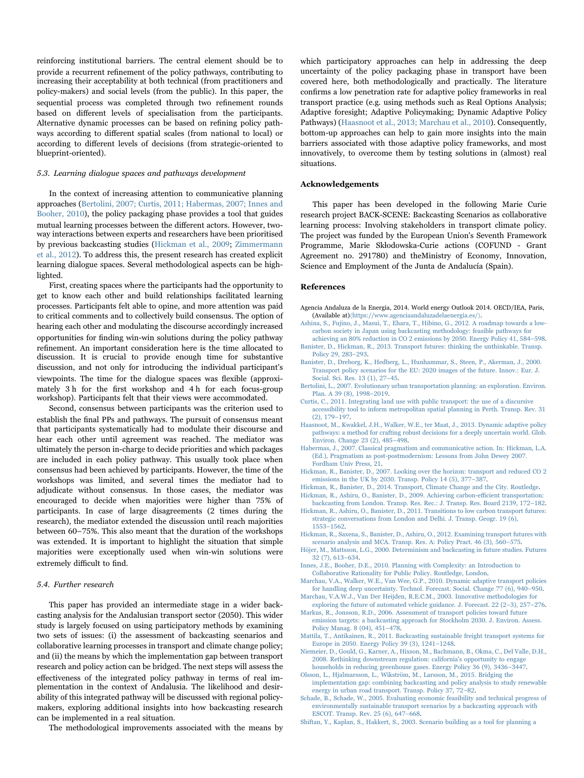reinforcing institutional barriers. The central element should be to provide a recurrent refinement of the policy pathways, contributing to increasing their acceptability at both technical (from practitioners and policy-makers) and social levels (from the public). In this paper, the sequential process was completed through two refinement rounds based on different levels of specialisation from the participants. Alternative dynamic processes can be based on refining policy pathways according to different spatial scales (from national to local) or according to different levels of decisions (from strategic-oriented to blueprint-oriented).

## 5.3. Learning dialogue spaces and pathways development

In the context of increasing attention to communicative planning approaches (Bertolini, 2007; Curtis, 2011; [Habermas,](#page-10-8) 2007; Innes and [Booher,](#page-10-8) 2010), the policy packaging phase provides a tool that guides mutual learning processes between the different actors. However, twoway interactions between experts and researchers have been prioritised by previous backcasting studies ([Hickman](#page-10-2) et al., 2009; [Zimmermann](#page-11-1) et al., [2012\)](#page-11-1). To address this, the present research has created explicit learning dialogue spaces. Several methodological aspects can be highlighted.

First, creating spaces where the participants had the opportunity to get to know each other and build relationships facilitated learning processes. Participants felt able to opine, and more attention was paid to critical comments and to collectively build consensus. The option of hearing each other and modulating the discourse accordingly increased opportunities for finding win-win solutions during the policy pathway refinement. An important consideration here is the time allocated to discussion. It is crucial to provide enough time for substantive discussion, and not only for introducing the individual participant's viewpoints. The time for the dialogue spaces was flexible (approximately 3 h for the first workshop and 4 h for each focus-group workshop). Participants felt that their views were accommodated.

Second, consensus between participants was the criterion used to establish the final PPs and pathways. The pursuit of consensus meant that participants systematically had to modulate their discourse and hear each other until agreement was reached. The mediator was ultimately the person in-charge to decide priorities and which packages are included in each policy pathway. This usually took place when consensus had been achieved by participants. However, the time of the workshops was limited, and several times the mediator had to adjudicate without consensus. In those cases, the mediator was encouraged to decide when majorities were higher than 75% of participants. In case of large disagreements (2 times during the research), the mediator extended the discussion until reach majorities between 60–75%. This also meant that the duration of the workshops was extended. It is important to highlight the situation that simple majorities were exceptionally used when win-win solutions were extremely difficult to find.

#### 5.4. Further research

This paper has provided an intermediate stage in a wider backcasting analysis for the Andalusian transport sector (2050). This wider study is largely focused on using participatory methods by examining two sets of issues: (i) the assessment of backcasting scenarios and collaborative learning processes in transport and climate change policy; and (ii) the means by which the implementation gap between transport research and policy action can be bridged. The next steps will assess the effectiveness of the integrated policy pathway in terms of real implementation in the context of Andalusia. The likelihood and desirability of this integrated pathway will be discussed with regional policymakers, exploring additional insights into how backcasting research can be implemented in a real situation.

The methodological improvements associated with the means by

which participatory approaches can help in addressing the deep uncertainty of the policy packaging phase in transport have been covered here, both methodologically and practically. The literature confirms a low penetration rate for adaptive policy frameworks in real transport practice (e.g. using methods such as Real Options Analysis; Adaptive foresight; Adaptive Policymaking; Dynamic Adaptive Policy Pathways) [\(Haasnoot et al., 2013; Marchau et al., 2010](#page-10-9)). Consequently, bottom-up approaches can help to gain more insights into the main barriers associated with those adaptive policy frameworks, and most innovatively, to overcome them by testing solutions in (almost) real situations.

#### Acknowledgements

This paper has been developed in the following Marie Curie research project BACK-SCENE: Backcasting Scenarios as collaborative learning process: Involving stakeholders in transport climate policy. The project was funded by the European Union's Seventh Framework Programme, Marie Skłodowska-Curie actions (COFUND - Grant Agreement no. 291780) and theMinistry of Economy, Innovation, Science and Employment of the Junta de Andalucía (Spain).

#### References

- <span id="page-10-7"></span>Agencia Andaluza de la Energia, 2014. World energy Outlook 2014. OECD/IEA, Paris, (Available at)〈<https://www.agenciaandaluzadelaenergia.es/>〉.
- <span id="page-10-4"></span>[Ashina, S., Fujino, J., Masui, T., Ehara, T., Hibino, G., 2012. A roadmap towards a low](http://refhub.elsevier.com/S0967-070X(16)30368-7/sbref2)[carbon society in Japan using backcasting methodology: feasible pathways for](http://refhub.elsevier.com/S0967-070X(16)30368-7/sbref2)
- <span id="page-10-3"></span>[achieving an 80% reduction in CO 2 emissions by 2050. Energy Policy 41, 584](http://refhub.elsevier.com/S0967-070X(16)30368-7/sbref2)–598. [Banister, D., Hickman, R., 2013. Transport futures: thinking the unthinkable. Transp.](http://refhub.elsevier.com/S0967-070X(16)30368-7/sbref3) [Policy 29, 283](http://refhub.elsevier.com/S0967-070X(16)30368-7/sbref3)–293.
- <span id="page-10-0"></span>[Banister, D., Dreborg, K., Hedberg, L., Hunhammar, S., Steen, P., Akerman, J., 2000.](http://refhub.elsevier.com/S0967-070X(16)30368-7/sbref4) [Transport policy scenarios for the EU: 2020 images of the future. Innov.: Eur. J.](http://refhub.elsevier.com/S0967-070X(16)30368-7/sbref4) [Social. Sci. Res. 13 \(1\), 27](http://refhub.elsevier.com/S0967-070X(16)30368-7/sbref4)–45.
- <span id="page-10-8"></span>[Bertolini, L., 2007. Evolutionary urban transportation planning: an exploration. Environ.](http://refhub.elsevier.com/S0967-070X(16)30368-7/sbref5) [Plan. A 39 \(8\), 1998](http://refhub.elsevier.com/S0967-070X(16)30368-7/sbref5)–2019.
- [Curtis, C., 2011. Integrating land use with public transport: the use of a discursive](http://refhub.elsevier.com/S0967-070X(16)30368-7/sbref6) [accessibility tool to inform metropolitan spatial planning in Perth. Transp. Rev. 31](http://refhub.elsevier.com/S0967-070X(16)30368-7/sbref6) [\(2\), 179](http://refhub.elsevier.com/S0967-070X(16)30368-7/sbref6)–197.
- <span id="page-10-9"></span>[Haasnoot, M., Kwakkel, J.H., Walker, W.E., ter Maat, J., 2013. Dynamic adaptive policy](http://refhub.elsevier.com/S0967-070X(16)30368-7/sbref7) [pathways: a method for crafting robust decisions for a deeply uncertain world. Glob.](http://refhub.elsevier.com/S0967-070X(16)30368-7/sbref7) [Environ. Change 23 \(2\), 485](http://refhub.elsevier.com/S0967-070X(16)30368-7/sbref7)–498.
- [Habermas, J., 2007. Classical pragmatism and communicative action. In: Hickman, L.A.](http://refhub.elsevier.com/S0967-070X(16)30368-7/sbref8) [\(Ed.\), Pragmatism as post-postmodernism: Lessons from John Dewey 2007.](http://refhub.elsevier.com/S0967-070X(16)30368-7/sbref8) [Fordham Univ Press, 21.](http://refhub.elsevier.com/S0967-070X(16)30368-7/sbref8)
- [Hickman, R., Banister, D., 2007. Looking over the horizon: transport and reduced CO 2](http://refhub.elsevier.com/S0967-070X(16)30368-7/sbref9) [emissions in the UK by 2030. Transp. Policy 14 \(5\), 377](http://refhub.elsevier.com/S0967-070X(16)30368-7/sbref9)–387.
- [Hickman, R., Banister, D., 2014. Transport, Climate Change and the City. Routledge.](http://refhub.elsevier.com/S0967-070X(16)30368-7/sbref10)
- <span id="page-10-2"></span>[Hickman, R., Ashiru, O., Banister, D., 2009. Achieving carbon-e](http://refhub.elsevier.com/S0967-070X(16)30368-7/sbref11)fficient transportation:
- <span id="page-10-6"></span>[backcasting from London. Transp. Res. Rec.: J. Transp. Res. Board 2139, 172](http://refhub.elsevier.com/S0967-070X(16)30368-7/sbref11)–182. [Hickman, R., Ashiru, O., Banister, D., 2011. Transitions to low carbon transport futures:](http://refhub.elsevier.com/S0967-070X(16)30368-7/sbref12) [strategic conversations from London and Delhi. J. Transp. Geogr. 19 \(6\),](http://refhub.elsevier.com/S0967-070X(16)30368-7/sbref12) 1553–[1562](http://refhub.elsevier.com/S0967-070X(16)30368-7/sbref12).
- <span id="page-10-1"></span>[Hickman, R., Saxena, S., Banister, D., Ashiru, O., 2012. Examining transport futures with](http://refhub.elsevier.com/S0967-070X(16)30368-7/sbref13) [scenario analysis and MCA. Transp. Res. A: Policy Pract. 46 \(3\), 560](http://refhub.elsevier.com/S0967-070X(16)30368-7/sbref13)–575.
- [Höjer, M., Mattsson, L.G., 2000. Determinism and backcasting in future studies. Futures](http://refhub.elsevier.com/S0967-070X(16)30368-7/sbref14) [32 \(7\), 613](http://refhub.elsevier.com/S0967-070X(16)30368-7/sbref14)–634.
- [Innes, J.E., Booher, D.E., 2010. Planning with Complexity: an Introduction to](http://refhub.elsevier.com/S0967-070X(16)30368-7/sbref15) [Collaborative Rationality for Public Policy. Routledge, London.](http://refhub.elsevier.com/S0967-070X(16)30368-7/sbref15)
- [Marchau, V.A., Walker, W.E., Van Wee, G.P., 2010. Dynamic adaptive transport policies](http://refhub.elsevier.com/S0967-070X(16)30368-7/sbref16) [for handling deep uncertainty. Technol. Forecast. Social. Change 77 \(6\), 940](http://refhub.elsevier.com/S0967-070X(16)30368-7/sbref16)–950.
- <span id="page-10-5"></span>[Marchau, V.A.W.J., Van Der Heijden, R.E.C.M., 2003. Innovative methodologies for](http://refhub.elsevier.com/S0967-070X(16)30368-7/sbref17) [exploring the future of automated vehicle guidance. J. Forecast. 22 \(2](http://refhub.elsevier.com/S0967-070X(16)30368-7/sbref17)–3), 257–276.
- [Markus, R., Jonsson, R.D., 2006. Assessment of transport policies toward future](http://refhub.elsevier.com/S0967-070X(16)30368-7/sbref18) [emission targets: a backcasting approach for Stockholm 2030. J. Environ. Assess.](http://refhub.elsevier.com/S0967-070X(16)30368-7/sbref18) [Policy Manag. 8 \(04\), 451](http://refhub.elsevier.com/S0967-070X(16)30368-7/sbref18)–478.
- [Mattila, T., Antikainen, R., 2011. Backcasting sustainable freight transport systems for](http://refhub.elsevier.com/S0967-070X(16)30368-7/sbref19) [Europe in 2050. Energy Policy 39 \(3\), 1241](http://refhub.elsevier.com/S0967-070X(16)30368-7/sbref19)–1248.
- [Niemeier, D., Gould, G., Karner, A., Hixson, M., Bachmann, B., Okma, C., Del Valle, D.H.,](http://refhub.elsevier.com/S0967-070X(16)30368-7/sbref20) [2008. Rethinking downstream regulation: california's opportunity to engage](http://refhub.elsevier.com/S0967-070X(16)30368-7/sbref20) [households in reducing greenhouse gases. Energy Policy 36 \(9\), 3436](http://refhub.elsevier.com/S0967-070X(16)30368-7/sbref20)–3447.
- [Olsson, L., Hjalmarsson, L., Wikström, M., Larsson, M., 2015. Bridging the](http://refhub.elsevier.com/S0967-070X(16)30368-7/sbref21)
- [implementation gap: combining backcasting and policy analysis to study renewable](http://refhub.elsevier.com/S0967-070X(16)30368-7/sbref21) [energy in urban road transport. Transp. Policy 37, 72](http://refhub.elsevier.com/S0967-070X(16)30368-7/sbref21)–82.
- [Schade, B., Schade, W., 2005. Evaluating economic feasibility and technical progress of](http://refhub.elsevier.com/S0967-070X(16)30368-7/sbref22) [environmentally sustainable transport scenarios by a backcasting approach with](http://refhub.elsevier.com/S0967-070X(16)30368-7/sbref22) [ESCOT. Transp. Rev. 25 \(6\), 647](http://refhub.elsevier.com/S0967-070X(16)30368-7/sbref22)–668.
- [Shiftan, Y., Kaplan, S., Hakkert, S., 2003. Scenario building as a tool for planning a](http://refhub.elsevier.com/S0967-070X(16)30368-7/sbref23)